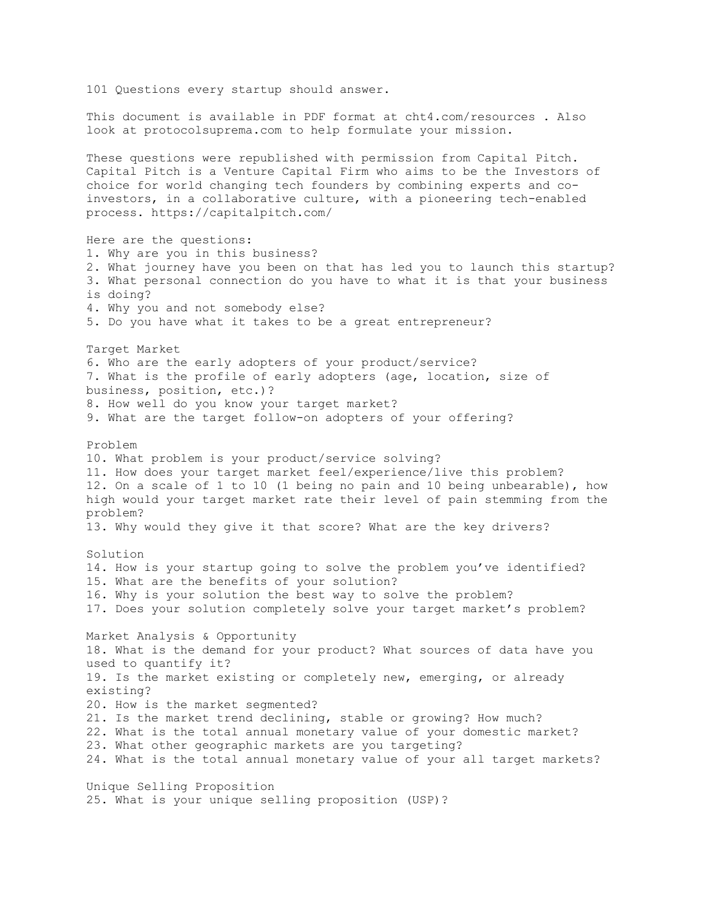101 Questions every startup should answer. This document is available in PDF format at cht4.com/resources . Also look at protocolsuprema.com to help formulate your mission. These questions were republished with permission from Capital Pitch. Capital Pitch is a Venture Capital Firm who aims to be the Investors of choice for world changing tech founders by combining experts and coinvestors, in a collaborative culture, with a pioneering tech-enabled process. https://capitalpitch.com/ Here are the questions: 1. Why are you in this business? 2. What journey have you been on that has led you to launch this startup? 3. What personal connection do you have to what it is that your business is doing? 4. Why you and not somebody else? 5. Do you have what it takes to be a great entrepreneur? Target Market 6. Who are the early adopters of your product/service? 7. What is the profile of early adopters (age, location, size of business, position, etc.)? 8. How well do you know your target market? 9. What are the target follow-on adopters of your offering? Problem 10. What problem is your product/service solving? 11. How does your target market feel/experience/live this problem? 12. On a scale of 1 to 10 (1 being no pain and 10 being unbearable), how high would your target market rate their level of pain stemming from the problem? 13. Why would they give it that score? What are the key drivers? Solution 14. How is your startup going to solve the problem you've identified? 15. What are the benefits of your solution? 16. Why is your solution the best way to solve the problem? 17. Does your solution completely solve your target market's problem? Market Analysis & Opportunity 18. What is the demand for your product? What sources of data have you used to quantify it? 19. Is the market existing or completely new, emerging, or already existing? 20. How is the market segmented? 21. Is the market trend declining, stable or growing? How much? 22. What is the total annual monetary value of your domestic market? 23. What other geographic markets are you targeting? 24. What is the total annual monetary value of your all target markets? Unique Selling Proposition 25. What is your unique selling proposition (USP)?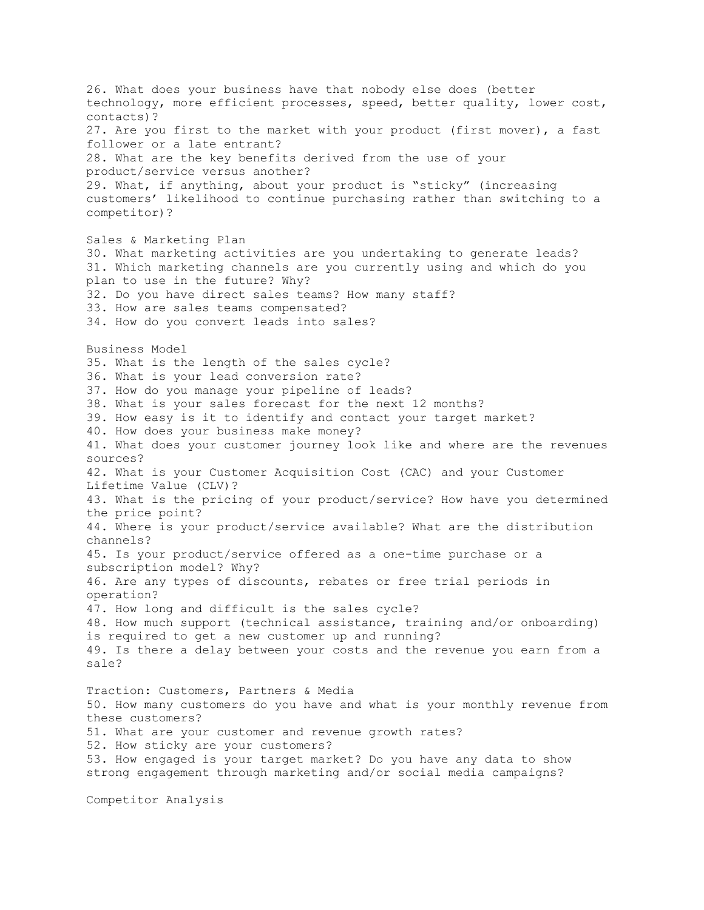26. What does your business have that nobody else does (better technology, more efficient processes, speed, better quality, lower cost, contacts)? 27. Are you first to the market with your product (first mover), a fast follower or a late entrant? 28. What are the key benefits derived from the use of your product/service versus another? 29. What, if anything, about your product is "sticky" (increasing customers' likelihood to continue purchasing rather than switching to a competitor)? Sales & Marketing Plan 30. What marketing activities are you undertaking to generate leads? 31. Which marketing channels are you currently using and which do you plan to use in the future? Why? 32. Do you have direct sales teams? How many staff? 33. How are sales teams compensated? 34. How do you convert leads into sales? Business Model 35. What is the length of the sales cycle? 36. What is your lead conversion rate? 37. How do you manage your pipeline of leads? 38. What is your sales forecast for the next 12 months? 39. How easy is it to identify and contact your target market? 40. How does your business make money? 41. What does your customer journey look like and where are the revenues sources? 42. What is your Customer Acquisition Cost (CAC) and your Customer Lifetime Value (CLV)? 43. What is the pricing of your product/service? How have you determined the price point? 44. Where is your product/service available? What are the distribution channels? 45. Is your product/service offered as a one-time purchase or a subscription model? Why? 46. Are any types of discounts, rebates or free trial periods in operation? 47. How long and difficult is the sales cycle? 48. How much support (technical assistance, training and/or onboarding) is required to get a new customer up and running? 49. Is there a delay between your costs and the revenue you earn from a sale? Traction: Customers, Partners & Media 50. How many customers do you have and what is your monthly revenue from these customers? 51. What are your customer and revenue growth rates? 52. How sticky are your customers? 53. How engaged is your target market? Do you have any data to show strong engagement through marketing and/or social media campaigns? Competitor Analysis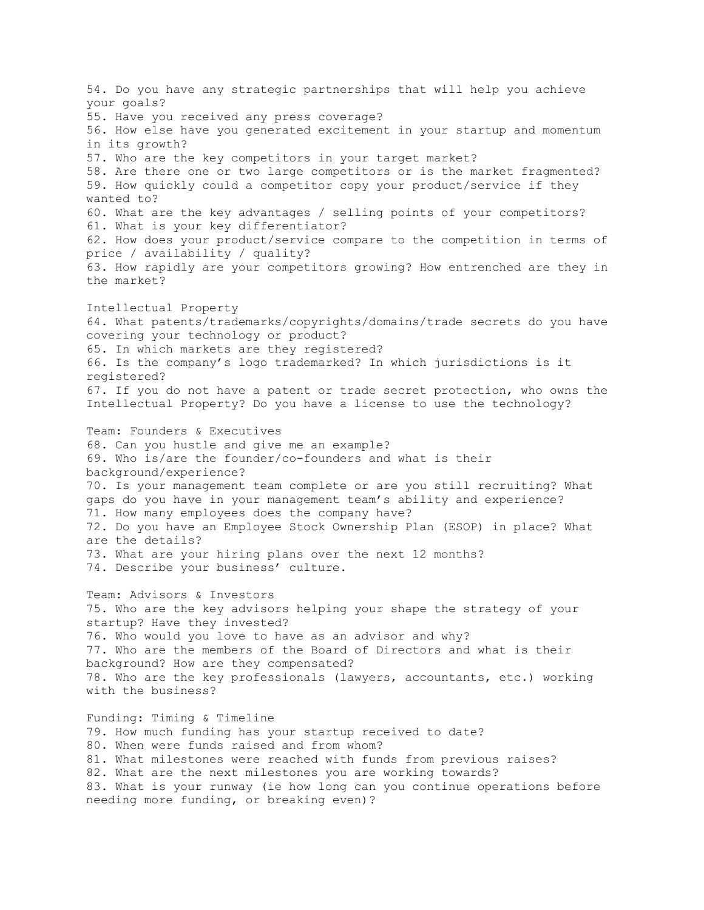54. Do you have any strategic partnerships that will help you achieve your goals? 55. Have you received any press coverage? 56. How else have you generated excitement in your startup and momentum in its growth? 57. Who are the key competitors in your target market? 58. Are there one or two large competitors or is the market fragmented? 59. How quickly could a competitor copy your product/service if they wanted to? 60. What are the key advantages / selling points of your competitors? 61. What is your key differentiator? 62. How does your product/service compare to the competition in terms of price / availability / quality? 63. How rapidly are your competitors growing? How entrenched are they in the market? Intellectual Property 64. What patents/trademarks/copyrights/domains/trade secrets do you have covering your technology or product? 65. In which markets are they registered? 66. Is the company's logo trademarked? In which jurisdictions is it registered? 67. If you do not have a patent or trade secret protection, who owns the Intellectual Property? Do you have a license to use the technology? Team: Founders & Executives 68. Can you hustle and give me an example? 69. Who is/are the founder/co-founders and what is their background/experience? 70. Is your management team complete or are you still recruiting? What gaps do you have in your management team's ability and experience? 71. How many employees does the company have? 72. Do you have an Employee Stock Ownership Plan (ESOP) in place? What are the details? 73. What are your hiring plans over the next 12 months? 74. Describe your business' culture. Team: Advisors & Investors 75. Who are the key advisors helping your shape the strategy of your startup? Have they invested? 76. Who would you love to have as an advisor and why? 77. Who are the members of the Board of Directors and what is their background? How are they compensated? 78. Who are the key professionals (lawyers, accountants, etc.) working with the business? Funding: Timing & Timeline 79. How much funding has your startup received to date? 80. When were funds raised and from whom? 81. What milestones were reached with funds from previous raises? 82. What are the next milestones you are working towards? 83. What is your runway (ie how long can you continue operations before needing more funding, or breaking even)?